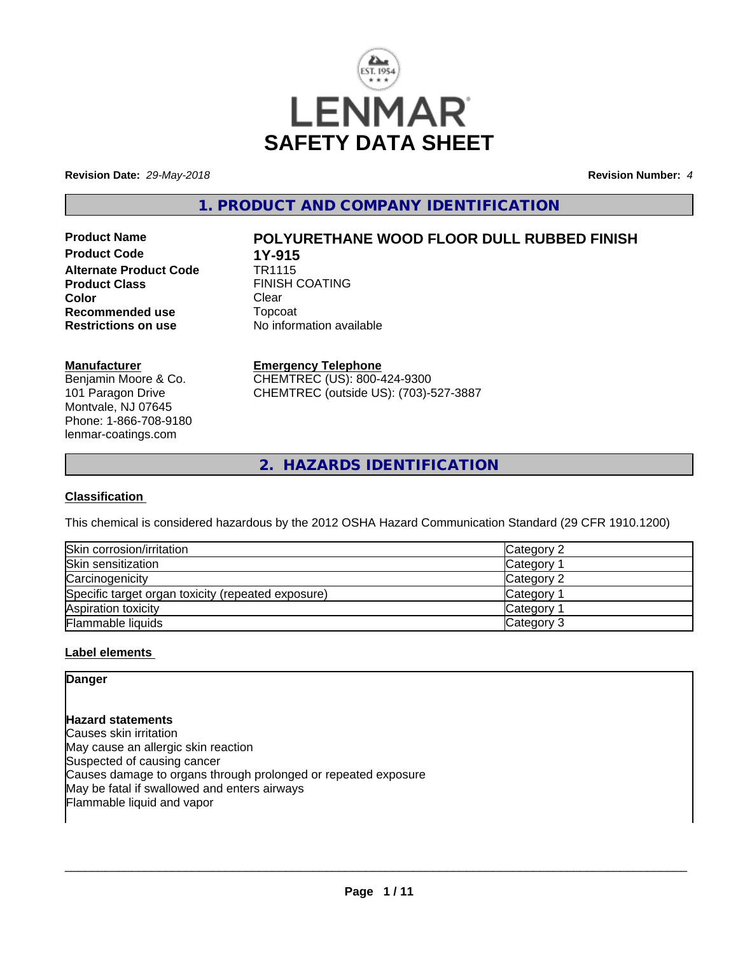

**Revision Date:** *29-May-2018* **Revision Number:** *4*

**1. PRODUCT AND COMPANY IDENTIFICATION**

**Product Code 1Y-915**<br>**Alternate Product Code 1R1115 Alternate Product Code Product Class** FINISH COATING **Color** Clear Clear **Recommended use Topcoat Restrictions on use Theory Network** 

# **Product Name POLYURETHANE WOOD FLOOR DULL RUBBED FINISH**

**No information available** 

## **Manufacturer**

Benjamin Moore & Co. 101 Paragon Drive Montvale, NJ 07645 Phone: 1-866-708-9180 lenmar-coatings.com

# **Emergency Telephone**

CHEMTREC (US): 800-424-9300 CHEMTREC (outside US): (703)-527-3887

**2. HAZARDS IDENTIFICATION**

# **Classification**

This chemical is considered hazardous by the 2012 OSHA Hazard Communication Standard (29 CFR 1910.1200)

| Skin corrosion/irritation                          | Category 2 |
|----------------------------------------------------|------------|
| Skin sensitization                                 | Category   |
| Carcinogenicity                                    | Category 2 |
| Specific target organ toxicity (repeated exposure) | Category   |
| Aspiration toxicity                                | Category   |
| Flammable liquids                                  | Category 3 |

# **Label elements**

# **Danger**

**Hazard statements** Causes skin irritation May cause an allergic skin reaction Suspected of causing cancer Causes damage to organs through prolonged or repeated exposure May be fatal if swallowed and enters airways Flammable liquid and vapor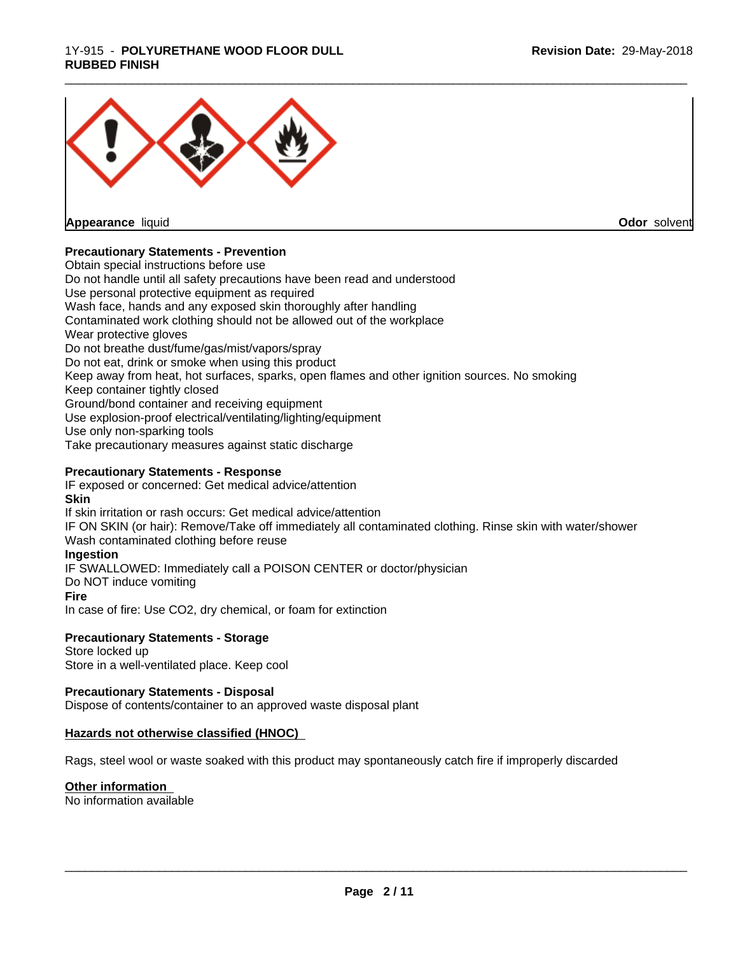### 1Y-915 - **POLYURETHANE WOOD FLOOR DULL RUBBED FINISH**



**Appearance** liquid

**Odor** solvent

# **Precautionary Statements - Prevention**

Obtain special instructions before use Do not handle until all safety precautions have been read and understood Use personal protective equipment as required Wash face, hands and any exposed skin thoroughly after handling Contaminated work clothing should not be allowed out of the workplace Wear protective gloves Do not breathe dust/fume/gas/mist/vapors/spray Do not eat, drink or smoke when using this product Keep away from heat, hot surfaces, sparks, open flames and other ignition sources. No smoking Keep container tightly closed Ground/bond container and receiving equipment Use explosion-proof electrical/ventilating/lighting/equipment Use only non-sparking tools Take precautionary measures against static discharge

# **Precautionary Statements - Response**

IF exposed or concerned: Get medical advice/attention **Skin** If skin irritation or rash occurs: Get medical advice/attention

IF ON SKIN (or hair): Remove/Take off immediately all contaminated clothing. Rinse skin with water/shower Wash contaminated clothing before reuse

#### **Ingestion**

IF SWALLOWED: Immediately call a POISON CENTER or doctor/physician

Do NOT induce vomiting

# **Fire**

In case of fire: Use CO2, dry chemical, or foam for extinction

### **Precautionary Statements - Storage**

Store locked up Store in a well-ventilated place. Keep cool

#### **Precautionary Statements - Disposal**

Dispose of contents/container to an approved waste disposal plant

#### **Hazards not otherwise classified (HNOC)**

Rags, steel wool or waste soaked with this product may spontaneously catch fire if improperly discarded

#### **Other information**

No information available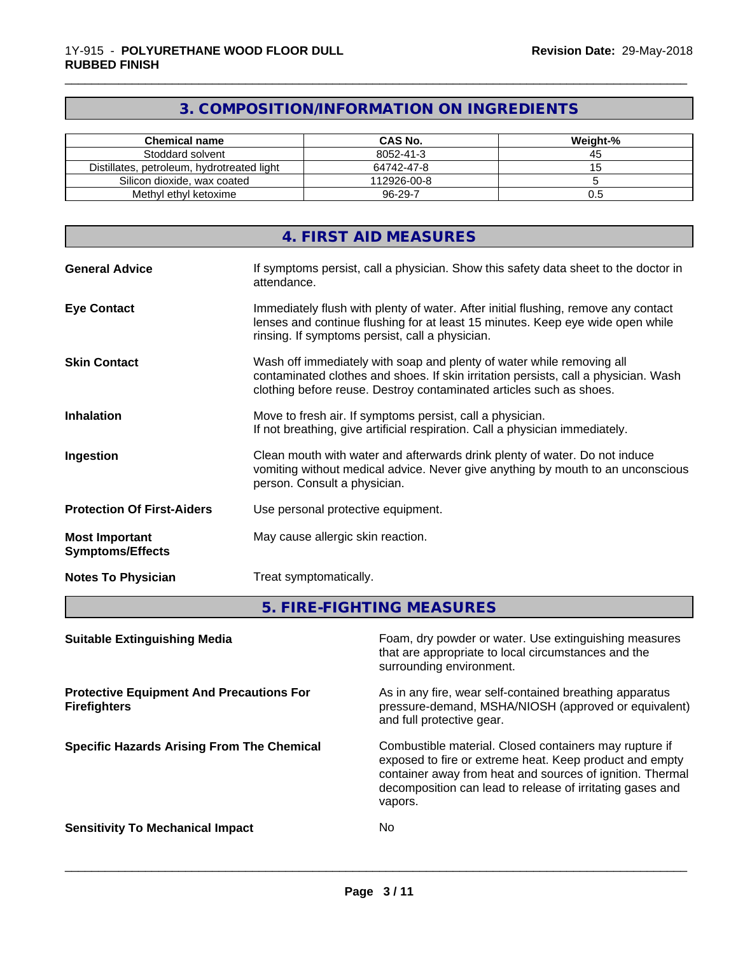# **3. COMPOSITION/INFORMATION ON INGREDIENTS**

\_\_\_\_\_\_\_\_\_\_\_\_\_\_\_\_\_\_\_\_\_\_\_\_\_\_\_\_\_\_\_\_\_\_\_\_\_\_\_\_\_\_\_\_\_\_\_\_\_\_\_\_\_\_\_\_\_\_\_\_\_\_\_\_\_\_\_\_\_\_\_\_\_\_\_\_\_\_\_\_\_\_\_\_\_\_\_\_\_\_\_\_\_

| <b>Chemical name</b>                       | CAS No.     | Weight-% |
|--------------------------------------------|-------------|----------|
| Stoddard solvent                           | 8052-41-3   | 45       |
| Distillates, petroleum, hydrotreated light | 64742-47-8  |          |
| Silicon dioxide, wax coated                | 112926-00-8 |          |
| Methyl ethyl ketoxime                      | 96-29-7     | U.5      |

| 4. FIRST AID MEASURES                                                                                                                                                                                                                                      |
|------------------------------------------------------------------------------------------------------------------------------------------------------------------------------------------------------------------------------------------------------------|
| If symptoms persist, call a physician. Show this safety data sheet to the doctor in<br><b>General Advice</b><br>attendance.                                                                                                                                |
| Immediately flush with plenty of water. After initial flushing, remove any contact<br><b>Eye Contact</b><br>lenses and continue flushing for at least 15 minutes. Keep eye wide open while<br>rinsing. If symptoms persist, call a physician.              |
| <b>Skin Contact</b><br>Wash off immediately with soap and plenty of water while removing all<br>contaminated clothes and shoes. If skin irritation persists, call a physician. Wash<br>clothing before reuse. Destroy contaminated articles such as shoes. |
| Move to fresh air. If symptoms persist, call a physician.<br><b>Inhalation</b><br>If not breathing, give artificial respiration. Call a physician immediately.                                                                                             |
| Clean mouth with water and afterwards drink plenty of water. Do not induce<br>Ingestion<br>vomiting without medical advice. Never give anything by mouth to an unconscious<br>person. Consult a physician.                                                 |
| <b>Protection Of First-Aiders</b><br>Use personal protective equipment.                                                                                                                                                                                    |
| May cause allergic skin reaction.<br><b>Most Important</b><br><b>Symptoms/Effects</b>                                                                                                                                                                      |
| Treat symptomatically.<br><b>Notes To Physician</b>                                                                                                                                                                                                        |

# **5. FIRE-FIGHTING MEASURES**

| <b>Suitable Extinguishing Media</b>                                    | Foam, dry powder or water. Use extinguishing measures<br>that are appropriate to local circumstances and the<br>surrounding environment.                                                                                                               |
|------------------------------------------------------------------------|--------------------------------------------------------------------------------------------------------------------------------------------------------------------------------------------------------------------------------------------------------|
| <b>Protective Equipment And Precautions For</b><br><b>Firefighters</b> | As in any fire, wear self-contained breathing apparatus<br>pressure-demand, MSHA/NIOSH (approved or equivalent)<br>and full protective gear.                                                                                                           |
| <b>Specific Hazards Arising From The Chemical</b>                      | Combustible material. Closed containers may rupture if<br>exposed to fire or extreme heat. Keep product and empty<br>container away from heat and sources of ignition. Thermal<br>decomposition can lead to release of irritating gases and<br>vapors. |
| <b>Sensitivity To Mechanical Impact</b>                                | No.                                                                                                                                                                                                                                                    |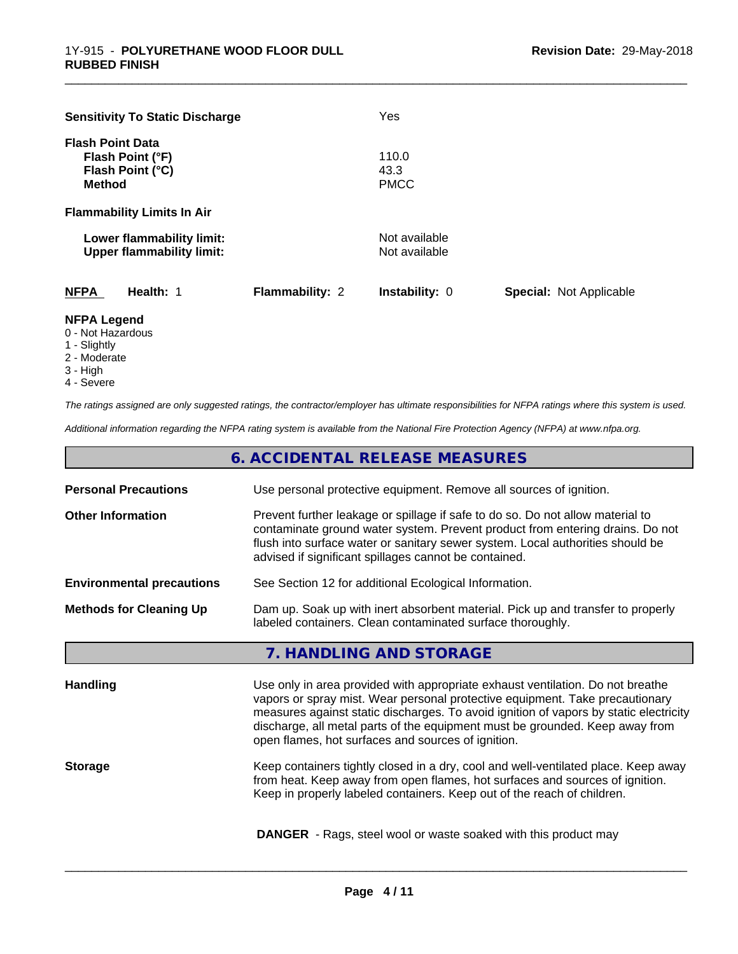| <b>Sensitivity To Static Discharge</b> |                        | Yes                   |                                |
|----------------------------------------|------------------------|-----------------------|--------------------------------|
| <b>Flash Point Data</b>                |                        |                       |                                |
| Flash Point (°F)                       |                        | 110.0                 |                                |
| Flash Point (°C)                       |                        | 43.3                  |                                |
| <b>Method</b>                          |                        | <b>PMCC</b>           |                                |
| <b>Flammability Limits In Air</b>      |                        |                       |                                |
| Lower flammability limit:              |                        | Not available         |                                |
| <b>Upper flammability limit:</b>       |                        | Not available         |                                |
|                                        |                        |                       |                                |
| <b>NFPA</b><br>Health: 1               | <b>Flammability: 2</b> | <b>Instability: 0</b> | <b>Special: Not Applicable</b> |

\_\_\_\_\_\_\_\_\_\_\_\_\_\_\_\_\_\_\_\_\_\_\_\_\_\_\_\_\_\_\_\_\_\_\_\_\_\_\_\_\_\_\_\_\_\_\_\_\_\_\_\_\_\_\_\_\_\_\_\_\_\_\_\_\_\_\_\_\_\_\_\_\_\_\_\_\_\_\_\_\_\_\_\_\_\_\_\_\_\_\_\_\_

# **NFPA Legend**

- 0 Not Hazardous
- 1 Slightly
- 2 Moderate
- 3 High
- 4 Severe

*The ratings assigned are only suggested ratings, the contractor/employer has ultimate responsibilities for NFPA ratings where this system is used.*

*Additional information regarding the NFPA rating system is available from the National Fire Protection Agency (NFPA) at www.nfpa.org.*

|                                  | 6. ACCIDENTAL RELEASE MEASURES                                                                                                                                                                                                                                                                                                                                                                |  |  |  |
|----------------------------------|-----------------------------------------------------------------------------------------------------------------------------------------------------------------------------------------------------------------------------------------------------------------------------------------------------------------------------------------------------------------------------------------------|--|--|--|
| <b>Personal Precautions</b>      | Use personal protective equipment. Remove all sources of ignition.                                                                                                                                                                                                                                                                                                                            |  |  |  |
| <b>Other Information</b>         | Prevent further leakage or spillage if safe to do so. Do not allow material to<br>contaminate ground water system. Prevent product from entering drains. Do not<br>flush into surface water or sanitary sewer system. Local authorities should be<br>advised if significant spillages cannot be contained.                                                                                    |  |  |  |
| <b>Environmental precautions</b> | See Section 12 for additional Ecological Information.                                                                                                                                                                                                                                                                                                                                         |  |  |  |
| <b>Methods for Cleaning Up</b>   | Dam up. Soak up with inert absorbent material. Pick up and transfer to properly<br>labeled containers. Clean contaminated surface thoroughly.                                                                                                                                                                                                                                                 |  |  |  |
|                                  | 7. HANDLING AND STORAGE                                                                                                                                                                                                                                                                                                                                                                       |  |  |  |
| <b>Handling</b>                  | Use only in area provided with appropriate exhaust ventilation. Do not breathe<br>vapors or spray mist. Wear personal protective equipment. Take precautionary<br>measures against static discharges. To avoid ignition of vapors by static electricity<br>discharge, all metal parts of the equipment must be grounded. Keep away from<br>open flames, hot surfaces and sources of ignition. |  |  |  |
| <b>Storage</b>                   | Keep containers tightly closed in a dry, cool and well-ventilated place. Keep away<br>from heat. Keep away from open flames, hot surfaces and sources of ignition.<br>Keep in properly labeled containers. Keep out of the reach of children.                                                                                                                                                 |  |  |  |
|                                  | <b>DANGER</b> - Rags, steel wool or waste soaked with this product may                                                                                                                                                                                                                                                                                                                        |  |  |  |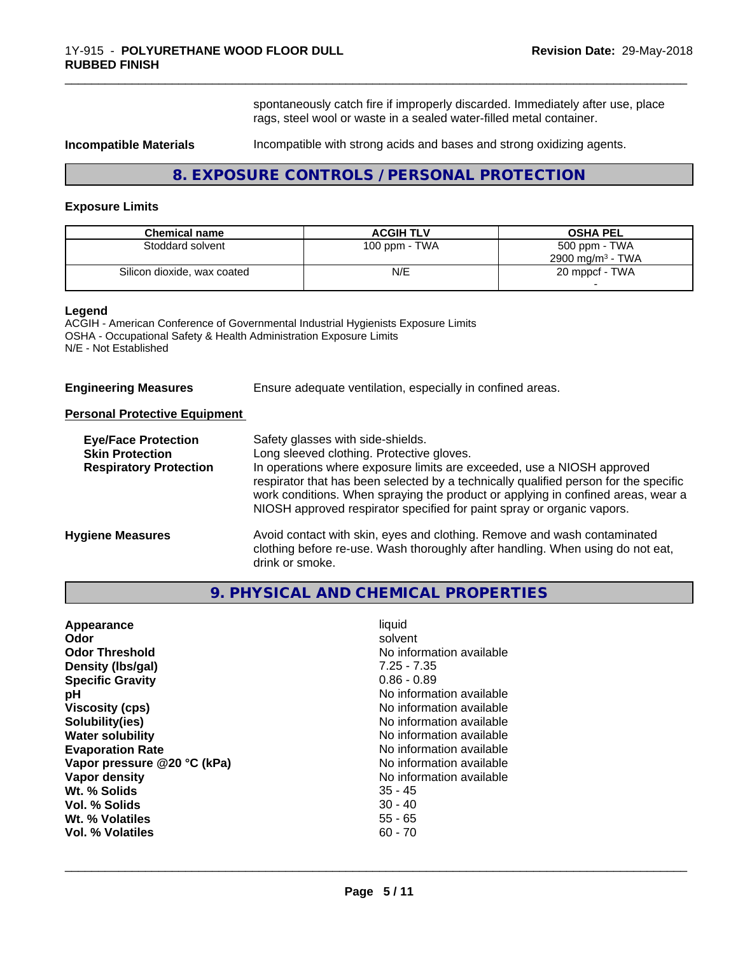spontaneously catch fire if improperly discarded. Immediately after use, place rags, steel wool or waste in a sealed water-filled metal container.

\_\_\_\_\_\_\_\_\_\_\_\_\_\_\_\_\_\_\_\_\_\_\_\_\_\_\_\_\_\_\_\_\_\_\_\_\_\_\_\_\_\_\_\_\_\_\_\_\_\_\_\_\_\_\_\_\_\_\_\_\_\_\_\_\_\_\_\_\_\_\_\_\_\_\_\_\_\_\_\_\_\_\_\_\_\_\_\_\_\_\_\_\_

**Incompatible Materials Incompatible with strong acids and bases and strong oxidizing agents.** 

# **8. EXPOSURE CONTROLS / PERSONAL PROTECTION**

#### **Exposure Limits**

| <b>Chemical name</b>        | <b>ACGIH TLV</b> | <b>OSHA PEL</b>                              |
|-----------------------------|------------------|----------------------------------------------|
| Stoddard solvent            | 100 ppm - TWA    | 500 ppm - TWA<br>$2900 \text{ mg/m}^3$ - TWA |
| Silicon dioxide, wax coated | N/E              | 20 mppcf - TWA                               |

#### **Legend**

ACGIH - American Conference of Governmental Industrial Hygienists Exposure Limits OSHA - Occupational Safety & Health Administration Exposure Limits N/E - Not Established

**Engineering Measures** Ensure adequate ventilation, especially in confined areas.

#### **Personal Protective Equipment**

| <b>Eye/Face Protection</b><br><b>Skin Protection</b> | Safety glasses with side-shields.<br>Long sleeved clothing. Protective gloves.                                                                                                                                                                     |
|------------------------------------------------------|----------------------------------------------------------------------------------------------------------------------------------------------------------------------------------------------------------------------------------------------------|
| <b>Respiratory Protection</b>                        | In operations where exposure limits are exceeded, use a NIOSH approved                                                                                                                                                                             |
|                                                      | respirator that has been selected by a technically qualified person for the specific<br>work conditions. When spraying the product or applying in confined areas, wear a<br>NIOSH approved respirator specified for paint spray or organic vapors. |
| <b>Hygiene Measures</b>                              | Avoid contact with skin, eyes and clothing. Remove and wash contaminated<br>clothing before re-use. Wash thoroughly after handling. When using do not eat,<br>drink or smoke.                                                                      |

# **9. PHYSICAL AND CHEMICAL PROPERTIES**

| Appearance                  | liquid                   |
|-----------------------------|--------------------------|
| Odor                        | solvent                  |
| <b>Odor Threshold</b>       | No information available |
| Density (Ibs/gal)           | $7.25 - 7.35$            |
| <b>Specific Gravity</b>     | $0.86 - 0.89$            |
| рH                          | No information available |
| <b>Viscosity (cps)</b>      | No information available |
| Solubility(ies)             | No information available |
| <b>Water solubility</b>     | No information available |
| <b>Evaporation Rate</b>     | No information available |
| Vapor pressure @20 °C (kPa) | No information available |
| Vapor density               | No information available |
| Wt. % Solids                | $35 - 45$                |
| Vol. % Solids               | $30 - 40$                |
| Wt. % Volatiles             | $55 - 65$                |
| Vol. % Volatiles            | $60 - 70$                |
|                             |                          |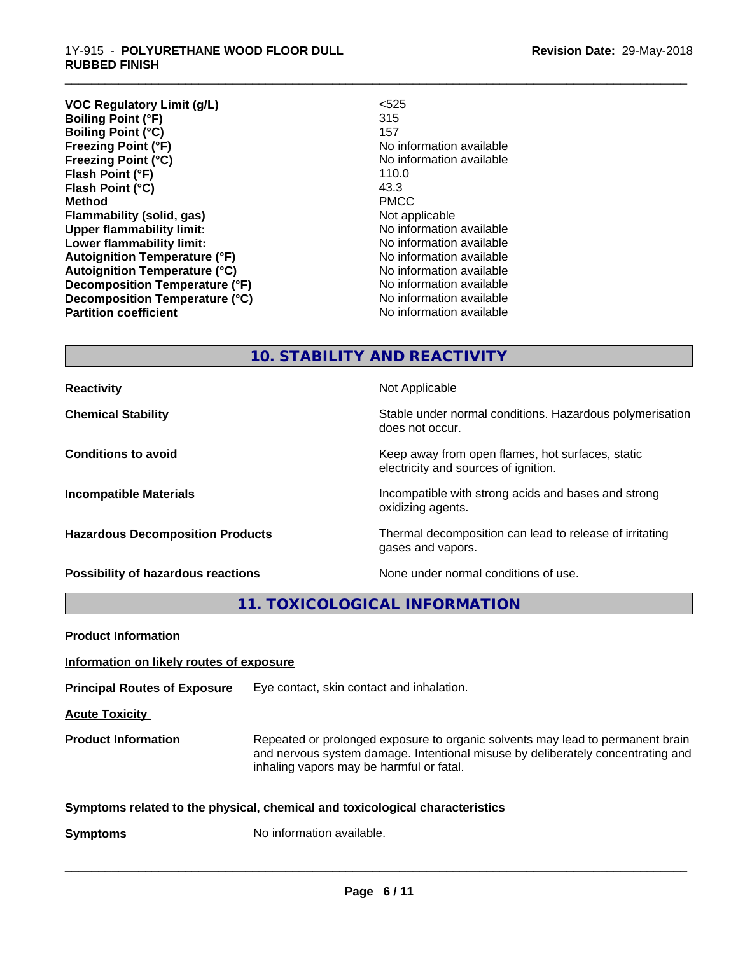#### 1Y-915 - **POLYURETHANE WOOD FLOOR DULL RUBBED FINISH**

**VOC Regulatory Limit (g/L)** <525 **Boiling Point (°F)** 315 **Boiling Point (°C)** 157 **Freezing Point (°F)** No information available **Freezing Point (°C)** The Control of the Monometer of Noinformation available **Flash Point (°F)** 110.0 **Flash Point (°C)** 43.3 **Method** PMCC **Flammability (solid, gas)** Not applicable **Upper flammability limit:** No information available **Lower flammability limit:**  $\qquad \qquad \qquad$  No information available **Autoignition Temperature (°F)** No information available **Autoignition Temperature (°C)**<br> **Decomposition Temperature (°F)** No information available **Decomposition Temperature (°F) Decomposition Temperature (°C)** No information available **Partition coefficient Contract Contract Contract Contract Contract Contract Contract Contract Contract Contract Contract Contract Contract Contract Contract Contract Contract Contract Contract Contract Contract Contract** 

\_\_\_\_\_\_\_\_\_\_\_\_\_\_\_\_\_\_\_\_\_\_\_\_\_\_\_\_\_\_\_\_\_\_\_\_\_\_\_\_\_\_\_\_\_\_\_\_\_\_\_\_\_\_\_\_\_\_\_\_\_\_\_\_\_\_\_\_\_\_\_\_\_\_\_\_\_\_\_\_\_\_\_\_\_\_\_\_\_\_\_\_\_

# **10. STABILITY AND REACTIVITY**

**Reactivity Not Applicable Not Applicable** 

**Chemical Stability Stability** Stable under normal conditions. Hazardous polymerisation does not occur.

**Conditions to avoid Keep away from open flames, hot surfaces, static conditions to avoid** electricity and sources of ignition.

**Incompatible Materials Incompatible with strong acids and bases and strong** oxidizing agents.

**Hazardous Decomposition Products** Thermal decomposition can lead to release of irritating gases and vapors.

**Possibility of hazardous reactions** None under normal conditions of use.

**11. TOXICOLOGICAL INFORMATION**

**Product Information**

## **Information on likely routes of exposure**

**Principal Routes of Exposure** Eye contact, skin contact and inhalation.

**Acute Toxicity** 

**Product Information** Repeated or prolonged exposure to organic solvents may lead to permanent brain and nervous system damage. Intentional misuse by deliberately concentrating and inhaling vapors may be harmful or fatal.

 $\overline{\phantom{a}}$  ,  $\overline{\phantom{a}}$  ,  $\overline{\phantom{a}}$  ,  $\overline{\phantom{a}}$  ,  $\overline{\phantom{a}}$  ,  $\overline{\phantom{a}}$  ,  $\overline{\phantom{a}}$  ,  $\overline{\phantom{a}}$  ,  $\overline{\phantom{a}}$  ,  $\overline{\phantom{a}}$  ,  $\overline{\phantom{a}}$  ,  $\overline{\phantom{a}}$  ,  $\overline{\phantom{a}}$  ,  $\overline{\phantom{a}}$  ,  $\overline{\phantom{a}}$  ,  $\overline{\phantom{a}}$ 

|  |  | Symptoms related to the physical, chemical and toxicological characteristics |  |
|--|--|------------------------------------------------------------------------------|--|
|  |  |                                                                              |  |

**Symptoms** No information available.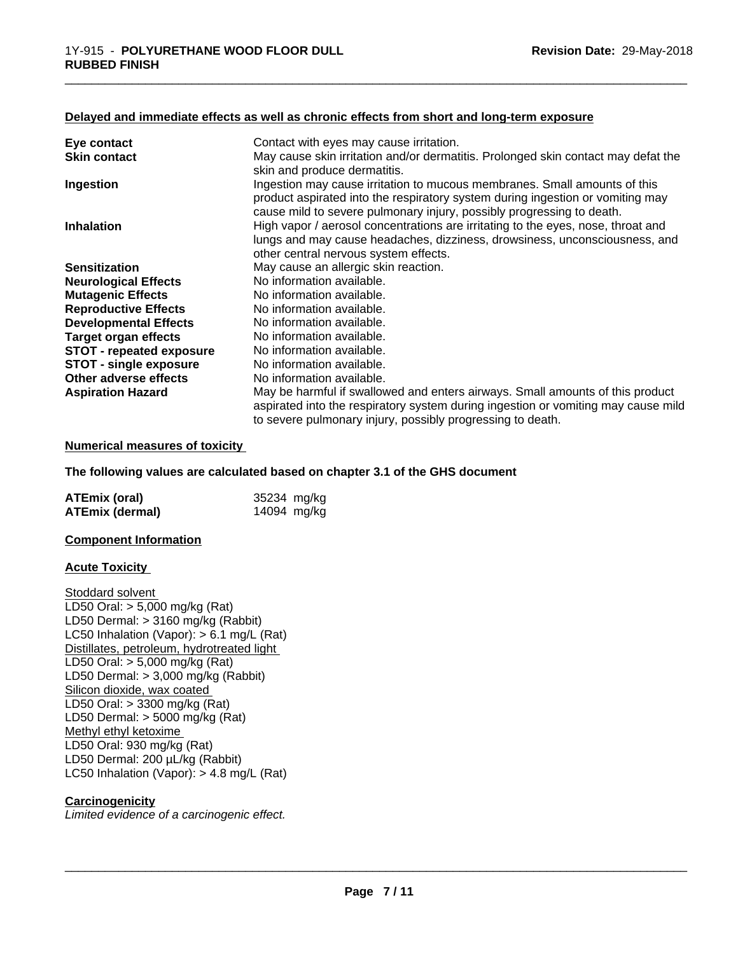#### **Delayed and immediate effects as well as chronic effects from short and long-term exposure**

| Eye contact                     | Contact with eyes may cause irritation.                                                                                                                                                                                              |
|---------------------------------|--------------------------------------------------------------------------------------------------------------------------------------------------------------------------------------------------------------------------------------|
| <b>Skin contact</b>             | May cause skin irritation and/or dermatitis. Prolonged skin contact may defat the<br>skin and produce dermatitis.                                                                                                                    |
| Ingestion                       | Ingestion may cause irritation to mucous membranes. Small amounts of this<br>product aspirated into the respiratory system during ingestion or vomiting may<br>cause mild to severe pulmonary injury, possibly progressing to death. |
| <b>Inhalation</b>               | High vapor / aerosol concentrations are irritating to the eyes, nose, throat and<br>lungs and may cause headaches, dizziness, drowsiness, unconsciousness, and<br>other central nervous system effects.                              |
| <b>Sensitization</b>            | May cause an allergic skin reaction.                                                                                                                                                                                                 |
| <b>Neurological Effects</b>     | No information available.                                                                                                                                                                                                            |
| <b>Mutagenic Effects</b>        | No information available.                                                                                                                                                                                                            |
| <b>Reproductive Effects</b>     | No information available.                                                                                                                                                                                                            |
| <b>Developmental Effects</b>    | No information available.                                                                                                                                                                                                            |
| <b>Target organ effects</b>     | No information available.                                                                                                                                                                                                            |
| <b>STOT - repeated exposure</b> | No information available.                                                                                                                                                                                                            |
| <b>STOT - single exposure</b>   | No information available.                                                                                                                                                                                                            |
| Other adverse effects           | No information available.                                                                                                                                                                                                            |
| <b>Aspiration Hazard</b>        | May be harmful if swallowed and enters airways. Small amounts of this product<br>aspirated into the respiratory system during ingestion or vomiting may cause mild<br>to severe pulmonary injury, possibly progressing to death.     |

\_\_\_\_\_\_\_\_\_\_\_\_\_\_\_\_\_\_\_\_\_\_\_\_\_\_\_\_\_\_\_\_\_\_\_\_\_\_\_\_\_\_\_\_\_\_\_\_\_\_\_\_\_\_\_\_\_\_\_\_\_\_\_\_\_\_\_\_\_\_\_\_\_\_\_\_\_\_\_\_\_\_\_\_\_\_\_\_\_\_\_\_\_

#### **Numerical measures of toxicity**

#### **The following values are calculated based on chapter 3.1 of the GHS document**

| <b>ATEmix (oral)</b> | 35234 mg/kg |
|----------------------|-------------|
| ATEmix (dermal)      | 14094 mg/kg |

#### **Component Information**

#### **Acute Toxicity**

Stoddard solvent LD50 Oral: > 5,000 mg/kg (Rat) LD50 Dermal: > 3160 mg/kg (Rabbit) LC50 Inhalation (Vapor): > 6.1 mg/L (Rat) Distillates, petroleum, hydrotreated light LD50 Oral: > 5,000 mg/kg (Rat) LD50 Dermal: > 3,000 mg/kg (Rabbit) Silicon dioxide, wax coated LD50 Oral: > 3300 mg/kg (Rat) LD50 Dermal: > 5000 mg/kg (Rat) Methyl ethyl ketoxime LD50 Oral: 930 mg/kg (Rat) LD50 Dermal: 200 µL/kg (Rabbit) LC50 Inhalation (Vapor): > 4.8 mg/L (Rat)

### **Carcinogenicity**

*Limited evidence of a carcinogenic effect.*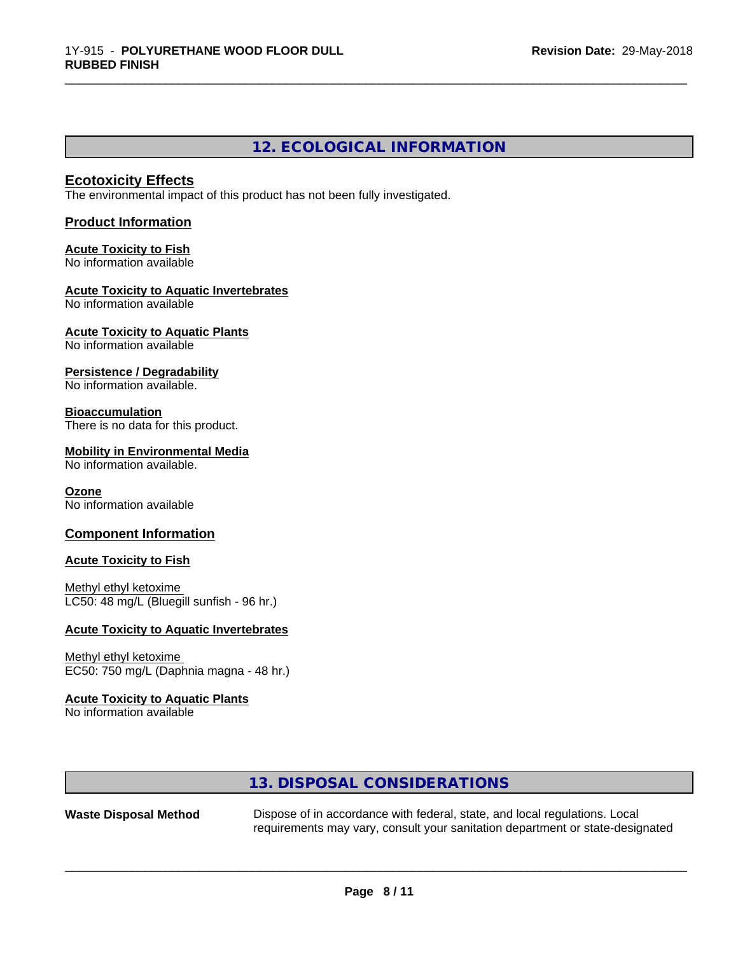# **12. ECOLOGICAL INFORMATION**

\_\_\_\_\_\_\_\_\_\_\_\_\_\_\_\_\_\_\_\_\_\_\_\_\_\_\_\_\_\_\_\_\_\_\_\_\_\_\_\_\_\_\_\_\_\_\_\_\_\_\_\_\_\_\_\_\_\_\_\_\_\_\_\_\_\_\_\_\_\_\_\_\_\_\_\_\_\_\_\_\_\_\_\_\_\_\_\_\_\_\_\_\_

# **Ecotoxicity Effects**

The environmental impact of this product has not been fully investigated.

# **Product Information**

#### **Acute Toxicity to Fish** No information available

#### **Acute Toxicity to Aquatic Invertebrates** No information available

**Acute Toxicity to Aquatic Plants** No information available

**Persistence / Degradability**

No information available.

# **Bioaccumulation**

There is no data for this product.

## **Mobility in Environmental Media**

No information available.

#### **Ozone**

No information available

# **Component Information**

## **Acute Toxicity to Fish**

Methyl ethyl ketoxime LC50: 48 mg/L (Bluegill sunfish - 96 hr.)

# **Acute Toxicity to Aquatic Invertebrates**

# Methyl ethyl ketoxime

EC50: 750 mg/L (Daphnia magna - 48 hr.)

# **Acute Toxicity to Aquatic Plants**

No information available

# **13. DISPOSAL CONSIDERATIONS**

**Waste Disposal Method** Dispose of in accordance with federal, state, and local regulations. Local requirements may vary, consult your sanitation department or state-designated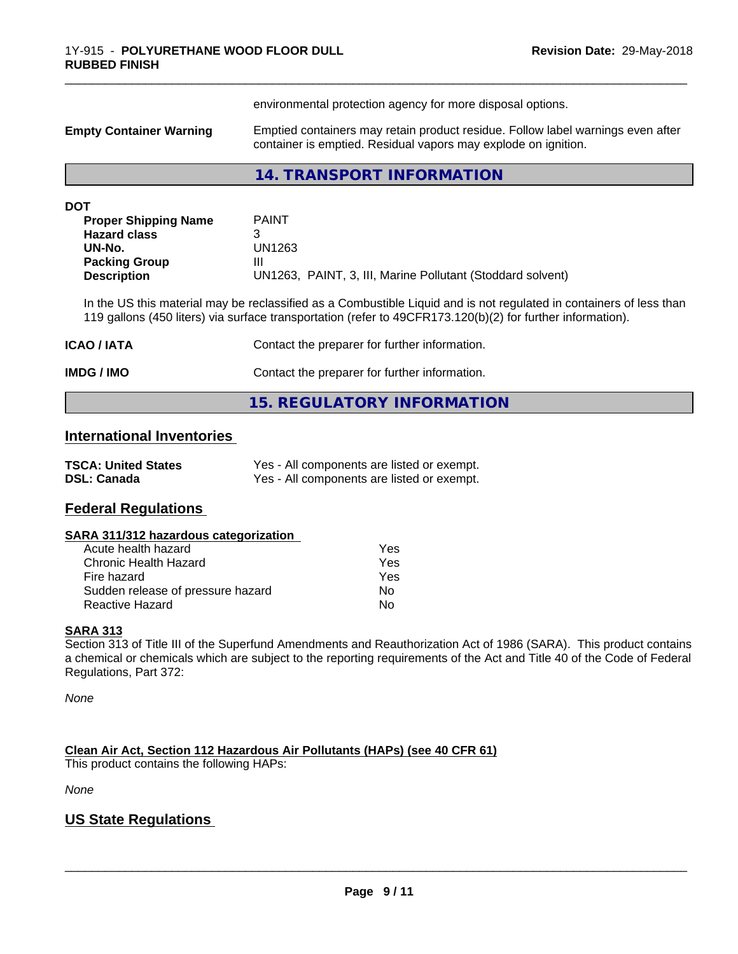|                                            | environmental protection agency for more disposal options.                                                                                                                                                                        |  |  |
|--------------------------------------------|-----------------------------------------------------------------------------------------------------------------------------------------------------------------------------------------------------------------------------------|--|--|
| <b>Empty Container Warning</b>             | Emptied containers may retain product residue. Follow label warnings even after<br>container is emptied. Residual vapors may explode on ignition.                                                                                 |  |  |
|                                            | 14. TRANSPORT INFORMATION                                                                                                                                                                                                         |  |  |
| <b>DOT</b>                                 |                                                                                                                                                                                                                                   |  |  |
| <b>Proper Shipping Name</b>                | <b>PAINT</b>                                                                                                                                                                                                                      |  |  |
| <b>Hazard class</b>                        | 3                                                                                                                                                                                                                                 |  |  |
| UN-No.                                     | <b>UN1263</b>                                                                                                                                                                                                                     |  |  |
| <b>Packing Group</b><br><b>Description</b> | Ш<br>UN1263, PAINT, 3, III, Marine Pollutant (Stoddard solvent)                                                                                                                                                                   |  |  |
|                                            | In the US this material may be reclassified as a Combustible Liquid and is not regulated in containers of less than<br>119 gallons (450 liters) via surface transportation (refer to 49CFR173.120(b)(2) for further information). |  |  |
| ICAO / IATA                                | Contact the preparer for further information.                                                                                                                                                                                     |  |  |
| IMDG / IMO                                 | Contact the preparer for further information.                                                                                                                                                                                     |  |  |
|                                            | <b>15. REGULATORY INFORMATION</b>                                                                                                                                                                                                 |  |  |
| <b>International Inventories</b>           |                                                                                                                                                                                                                                   |  |  |

\_\_\_\_\_\_\_\_\_\_\_\_\_\_\_\_\_\_\_\_\_\_\_\_\_\_\_\_\_\_\_\_\_\_\_\_\_\_\_\_\_\_\_\_\_\_\_\_\_\_\_\_\_\_\_\_\_\_\_\_\_\_\_\_\_\_\_\_\_\_\_\_\_\_\_\_\_\_\_\_\_\_\_\_\_\_\_\_\_\_\_\_\_

| <b>TSCA: United States</b> | Yes - All components are listed or exempt. |
|----------------------------|--------------------------------------------|
| <b>DSL: Canada</b>         | Yes - All components are listed or exempt. |

# **Federal Regulations**

#### **SARA 311/312 hazardous categorization**

| Acute health hazard               | Yes |
|-----------------------------------|-----|
| Chronic Health Hazard             | Yes |
| Fire hazard                       | Yes |
| Sudden release of pressure hazard | Nο  |
| Reactive Hazard                   | N٥  |

# **SARA 313**

Section 313 of Title III of the Superfund Amendments and Reauthorization Act of 1986 (SARA). This product contains a chemical or chemicals which are subject to the reporting requirements of the Act and Title 40 of the Code of Federal Regulations, Part 372:

*None*

**Clean Air Act,Section 112 Hazardous Air Pollutants (HAPs) (see 40 CFR 61)**

This product contains the following HAPs:

*None*

# **US State Regulations**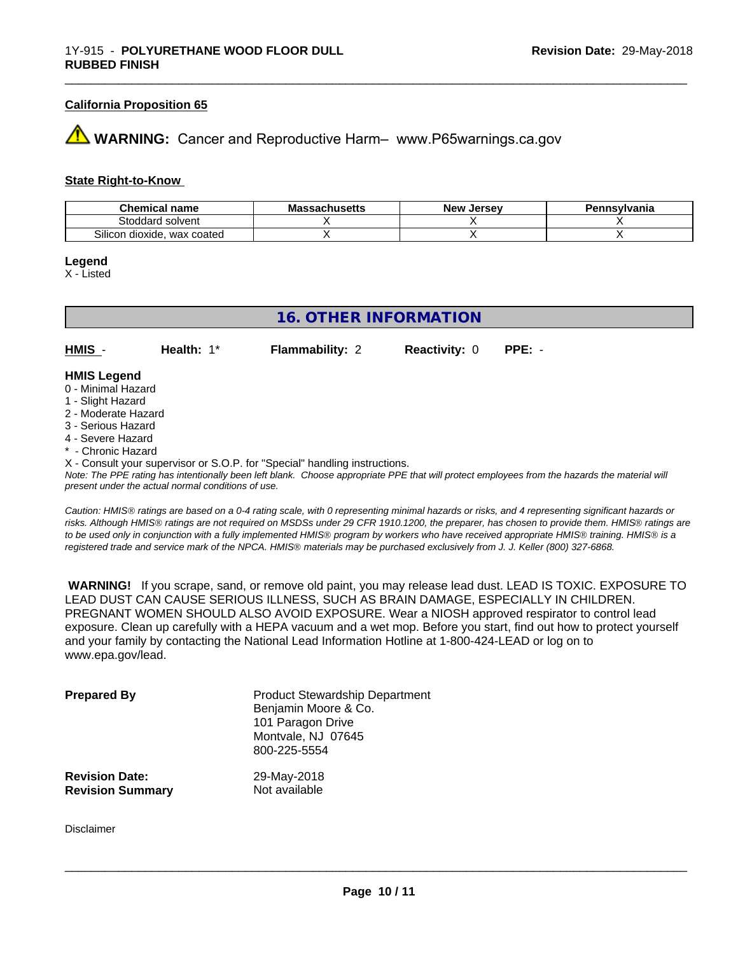#### **California Proposition 65**

# **WARNING:** Cancer and Reproductive Harm– www.P65warnings.ca.gov

#### **State Right-to-Know**

| <b>Chemical</b><br>' name            | <b>Massachusetts</b> | . Jersev<br><b>New</b> | 'ennsvlvania |
|--------------------------------------|----------------------|------------------------|--------------|
| Stoddard<br>l solvent                |                      |                        |              |
| ~…<br>wax coated<br>Silicon dioxide. |                      |                        |              |

#### **Legend**

X - Listed

| <b>16. OTHER INFORMATION</b>            |               |                        |                      |          |  |
|-----------------------------------------|---------------|------------------------|----------------------|----------|--|
| $HMIS -$                                | Health: $1^*$ | <b>Flammability: 2</b> | <b>Reactivity: 0</b> | $PPE: -$ |  |
| <b>HMIS Legend</b>                      |               |                        |                      |          |  |
| 0 - Minimal Hazard<br>1 - Slight Hazard |               |                        |                      |          |  |
| 2 - Moderate Hazard                     |               |                        |                      |          |  |

- 
- 3 Serious Hazard
- 4 Severe Hazard
- \* Chronic Hazard
- X Consult your supervisor or S.O.P. for "Special" handling instructions.

*Note: The PPE rating has intentionally been left blank. Choose appropriate PPE that will protect employees from the hazards the material will present under the actual normal conditions of use.*

*Caution: HMISÒ ratings are based on a 0-4 rating scale, with 0 representing minimal hazards or risks, and 4 representing significant hazards or risks. Although HMISÒ ratings are not required on MSDSs under 29 CFR 1910.1200, the preparer, has chosen to provide them. HMISÒ ratings are to be used only in conjunction with a fully implemented HMISÒ program by workers who have received appropriate HMISÒ training. HMISÒ is a registered trade and service mark of the NPCA. HMISÒ materials may be purchased exclusively from J. J. Keller (800) 327-6868.*

 **WARNING!** If you scrape, sand, or remove old paint, you may release lead dust. LEAD IS TOXIC. EXPOSURE TO LEAD DUST CAN CAUSE SERIOUS ILLNESS, SUCH AS BRAIN DAMAGE, ESPECIALLY IN CHILDREN. PREGNANT WOMEN SHOULD ALSO AVOID EXPOSURE.Wear a NIOSH approved respirator to control lead exposure. Clean up carefully with a HEPA vacuum and a wet mop. Before you start, find out how to protect yourself and your family by contacting the National Lead Information Hotline at 1-800-424-LEAD or log on to www.epa.gov/lead.

| <b>Prepared By</b>      | <b>Product Stewardship Department</b><br>Benjamin Moore & Co.<br>101 Paragon Drive<br>Montvale, NJ 07645<br>800-225-5554 |
|-------------------------|--------------------------------------------------------------------------------------------------------------------------|
| <b>Revision Date:</b>   | 29-May-2018                                                                                                              |
| <b>Revision Summary</b> | Not available                                                                                                            |

Disclaimer